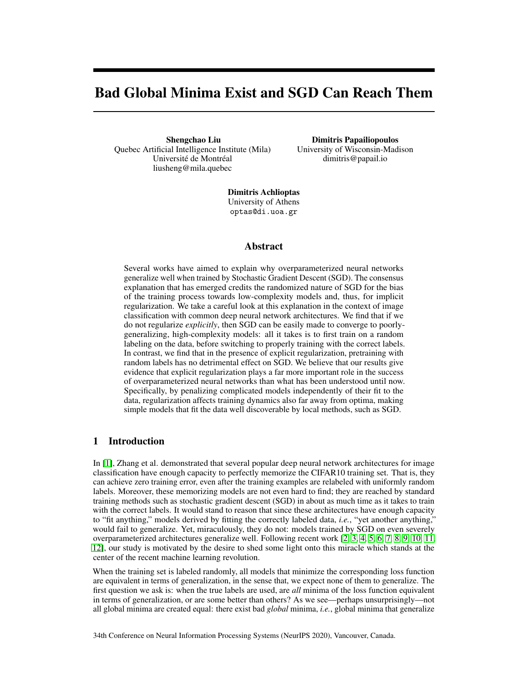# <span id="page-0-0"></span>Bad Global Minima Exist and SGD Can Reach Them

Shengchao Liu Quebec Artificial Intelligence Institute (Mila) Université de Montréal liusheng@mila.quebec

Dimitris Papailiopoulos University of Wisconsin-Madison dimitris@papail.io

Dimitris Achlioptas University of Athens optas@di.uoa.gr

## Abstract

Several works have aimed to explain why overparameterized neural networks generalize well when trained by Stochastic Gradient Descent (SGD). The consensus explanation that has emerged credits the randomized nature of SGD for the bias of the training process towards low-complexity models and, thus, for implicit regularization. We take a careful look at this explanation in the context of image classification with common deep neural network architectures. We find that if we do not regularize *explicitly*, then SGD can be easily made to converge to poorlygeneralizing, high-complexity models: all it takes is to first train on a random labeling on the data, before switching to properly training with the correct labels. In contrast, we find that in the presence of explicit regularization, pretraining with random labels has no detrimental effect on SGD. We believe that our results give evidence that explicit regularization plays a far more important role in the success of overparameterized neural networks than what has been understood until now. Specifically, by penalizing complicated models independently of their fit to the data, regularization affects training dynamics also far away from optima, making simple models that fit the data well discoverable by local methods, such as SGD.

# 1 Introduction

In [\[1\]](#page-8-0), Zhang et al. demonstrated that several popular deep neural network architectures for image classification have enough capacity to perfectly memorize the CIFAR10 training set. That is, they can achieve zero training error, even after the training examples are relabeled with uniformly random labels. Moreover, these memorizing models are not even hard to find; they are reached by standard training methods such as stochastic gradient descent (SGD) in about as much time as it takes to train with the correct labels. It would stand to reason that since these architectures have enough capacity to "fit anything," models derived by fitting the correctly labeled data, *i.e.*, "yet another anything," would fail to generalize. Yet, miraculously, they do not: models trained by SGD on even severely overparameterized architectures generalize well. Following recent work [\[2,](#page-8-0) [3,](#page-8-0) [4,](#page-8-0) [5,](#page-8-0) [6,](#page-8-0) [7,](#page-8-0) [8,](#page-8-0) [9,](#page-8-0) [10,](#page-8-0) [11,](#page-8-0) [12\]](#page-9-0), our study is motivated by the desire to shed some light onto this miracle which stands at the center of the recent machine learning revolution.

When the training set is labeled randomly, all models that minimize the corresponding loss function are equivalent in terms of generalization, in the sense that, we expect none of them to generalize. The first question we ask is: when the true labels are used, are *all* minima of the loss function equivalent in terms of generalization, or are some better than others? As we see—perhaps unsurprisingly—not all global minima are created equal: there exist bad *global* minima, *i.e.*, global minima that generalize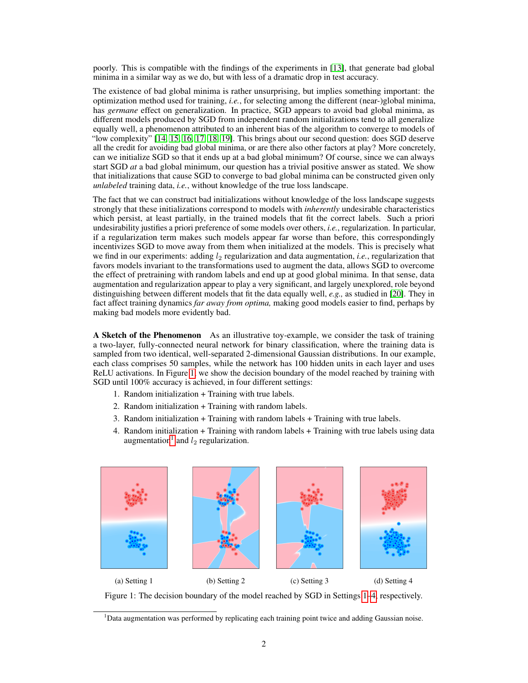<span id="page-1-0"></span>poorly. This is compatible with the findings of the experiments in [\[13\]](#page-9-0), that generate bad global minima in a similar way as we do, but with less of a dramatic drop in test accuracy.

The existence of bad global minima is rather unsurprising, but implies something important: the optimization method used for training, *i.e.*, for selecting among the different (near-)global minima, has *germane* effect on generalization. In practice, SGD appears to avoid bad global minima, as different models produced by SGD from independent random initializations tend to all generalize equally well, a phenomenon attributed to an inherent bias of the algorithm to converge to models of "low complexity" [\[14,](#page-9-0) [15,](#page-9-0) [16,](#page-9-0) [17,](#page-9-0) [18,](#page-9-0) [19\]](#page-9-0). This brings about our second question: does SGD deserve all the credit for avoiding bad global minima, or are there also other factors at play? More concretely, can we initialize SGD so that it ends up at a bad global minimum? Of course, since we can always start SGD *at* a bad global minimum, our question has a trivial positive answer as stated. We show that initializations that cause SGD to converge to bad global minima can be constructed given only *unlabeled* training data, *i.e.*, without knowledge of the true loss landscape.

The fact that we can construct bad initializations without knowledge of the loss landscape suggests strongly that these initializations correspond to models with *inherently* undesirable characteristics which persist, at least partially, in the trained models that fit the correct labels. Such a priori undesirability justifies a priori preference of some models over others, *i.e.*, regularization. In particular, if a regularization term makes such models appear far worse than before, this correspondingly incentivizes SGD to move away from them when initialized at the models. This is precisely what we find in our experiments: adding  $l_2$  regularization and data augmentation, *i.e.*, regularization that favors models invariant to the transformations used to augment the data, allows SGD to overcome the effect of pretraining with random labels and end up at good global minima. In that sense, data augmentation and regularization appear to play a very significant, and largely unexplored, role beyond distinguishing between different models that fit the data equally well, *e.g.,* as studied in [\[20\]](#page-9-0). They in fact affect training dynamics *far away from optima,* making good models easier to find, perhaps by making bad models more evidently bad.

A Sketch of the Phenomenon As an illustrative toy-example, we consider the task of training a two-layer, fully-connected neural network for binary classification, where the training data is sampled from two identical, well-separated 2-dimensional Gaussian distributions. In our example, each class comprises 50 samples, while the network has 100 hidden units in each layer and uses ReLU activations. In Figure 1, we show the decision boundary of the model reached by training with SGD until 100% accuracy is achieved, in four different settings:

- 1. Random initialization + Training with true labels.
- 2. Random initialization + Training with random labels.
- 3. Random initialization + Training with random labels + Training with true labels.
- 4. Random initialization + Training with random labels + Training with true labels using data augmentation<sup>1</sup> and  $l_2$  regularization.



Figure 1: The decision boundary of the model reached by SGD in Settings 1–4, respectively.

<sup>&</sup>lt;sup>1</sup>Data augmentation was performed by replicating each training point twice and adding Gaussian noise.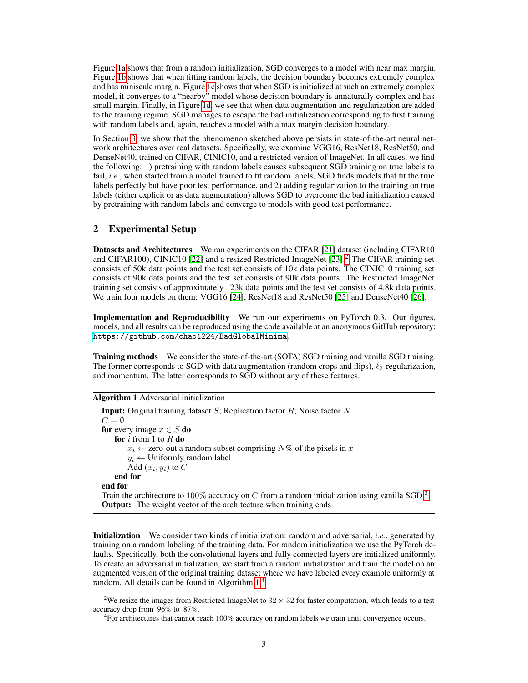Figure [1a](#page-1-0) shows that from a random initialization, SGD converges to a model with near max margin. Figure [1b](#page-1-0) shows that when fitting random labels, the decision boundary becomes extremely complex and has miniscule margin. Figure [1c](#page-1-0) shows that when SGD is initialized at such an extremely complex model, it converges to a "nearby" model whose decision boundary is unnaturally complex and has small margin. Finally, in Figure [1d,](#page-1-0) we see that when data augmentation and regularization are added to the training regime, SGD manages to escape the bad initialization corresponding to first training with random labels and, again, reaches a model with a max margin decision boundary.

In Section [3,](#page-3-0) we show that the phenomenon sketched above persists in state-of-the-art neural network architectures over real datasets. Specifically, we examine VGG16, ResNet18, ResNet50, and DenseNet40, trained on CIFAR, CINIC10, and a restricted version of ImageNet. In all cases, we find the following: 1) pretraining with random labels causes subsequent SGD training on true labels to fail, *i.e.*, when started from a model trained to fit random labels, SGD finds models that fit the true labels perfectly but have poor test performance, and 2) adding regularization to the training on true labels (either explicit or as data augmentation) allows SGD to overcome the bad initialization caused by pretraining with random labels and converge to models with good test performance.

## 2 Experimental Setup

Datasets and Architectures We ran experiments on the CIFAR [\[21\]](#page-9-0) dataset (including CIFAR10 and CIFAR100), CINIC10 [\[22\]](#page-9-0) and a resized Restricted ImageNet [\[23\]](#page-9-0).<sup>2</sup> The CIFAR training set consists of 50k data points and the test set consists of 10k data points. The CINIC10 training set consists of 90k data points and the test set consists of 90k data points. The Restricted ImageNet training set consists of approximately 123k data points and the test set consists of 4.8k data points. We train four models on them: VGG16 [\[24\]](#page-9-0), ResNet18 and ResNet50 [\[25\]](#page-9-0) and DenseNet40 [\[26\]](#page-9-0).

Implementation and Reproducibility We run our experiments on PyTorch 0.3. Our figures, models, and all results can be reproduced using the code available at an anonymous GitHub repository: <https://github.com/chao1224/BadGlobalMinima>.

Training methods We consider the state-of-the-art (SOTA) SGD training and vanilla SGD training. The former corresponds to SGD with data augmentation (random crops and flips),  $\ell_2$ -regularization, and momentum. The latter corresponds to SGD without any of these features.

Algorithm 1 Adversarial initialization

**Input:** Original training dataset  $S$ ; Replication factor  $R$ ; Noise factor  $N$  $C=\emptyset$ for every image  $x \in S$  do for i from 1 to  $R$  do  $x_i \leftarrow$  zero-out a random subset comprising  $N\%$  of the pixels in x  $y_i \leftarrow$  Uniformly random label Add  $(x_i, y_i)$  to  $C$ end for end for Train the architecture to 100% accuracy on C from a random initialization using vanilla SGD<sup>[3](#page-0-0)</sup> **Output:** The weight vector of the architecture when training ends

Initialization We consider two kinds of initialization: random and adversarial, *i.e.*, generated by training on a random labeling of the training data. For random initialization we use the PyTorch defaults. Specifically, both the convolutional layers and fully connected layers are initialized uniformly. To create an adversarial initialization, we start from a random initialization and train the model on an augmented version of the original training dataset where we have labeled every example uniformly at random. All details can be found in Algorithm 1.<sup>4</sup>

<sup>&</sup>lt;sup>2</sup>We resize the images from Restricted ImageNet to  $32 \times 32$  for faster computation, which leads to a test accuracy drop from 96% to 87%.

<sup>&</sup>lt;sup>4</sup>For architectures that cannot reach 100% accuracy on random labels we train until convergence occurs.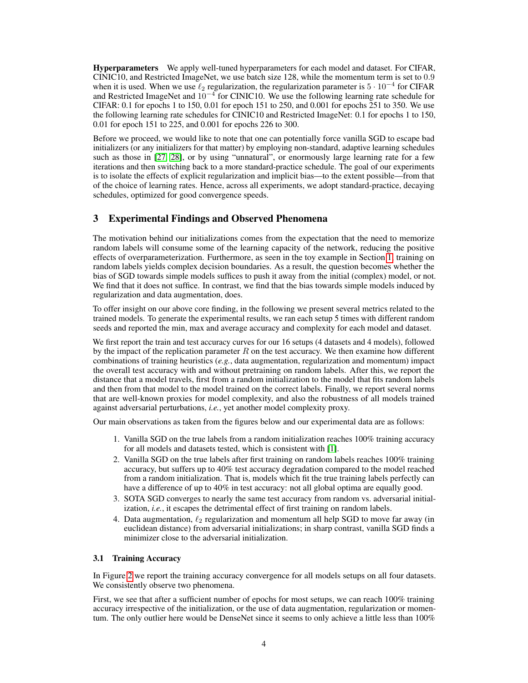<span id="page-3-0"></span>Hyperparameters We apply well-tuned hyperparameters for each model and dataset. For CIFAR, CINIC10, and Restricted ImageNet, we use batch size 128, while the momentum term is set to 0.9 when it is used. When we use  $\ell_2$  regularization, the regularization parameter is  $5 \cdot 10^{-4}$  for CIFAR and Restricted ImageNet and 10<sup>-4</sup> for CINIC10. We use the following learning rate schedule for CIFAR: 0.1 for epochs 1 to 150, 0.01 for epoch 151 to 250, and 0.001 for epochs 251 to 350. We use the following learning rate schedules for CINIC10 and Restricted ImageNet: 0.1 for epochs 1 to 150, 0.01 for epoch 151 to 225, and 0.001 for epochs 226 to 300.

Before we proceed, we would like to note that one can potentially force vanilla SGD to escape bad initializers (or any initializers for that matter) by employing non-standard, adaptive learning schedules such as those in [\[27,](#page-9-0) [28\]](#page-9-0), or by using "unnatural", or enormously large learning rate for a few iterations and then switching back to a more standard-practice schedule. The goal of our experiments is to isolate the effects of explicit regularization and implicit bias—to the extent possible—from that of the choice of learning rates. Hence, across all experiments, we adopt standard-practice, decaying schedules, optimized for good convergence speeds.

# 3 Experimental Findings and Observed Phenomena

The motivation behind our initializations comes from the expectation that the need to memorize random labels will consume some of the learning capacity of the network, reducing the positive effects of overparameterization. Furthermore, as seen in the toy example in Section [1,](#page-0-0) training on random labels yields complex decision boundaries. As a result, the question becomes whether the bias of SGD towards simple models suffices to push it away from the initial (complex) model, or not. We find that it does not suffice. In contrast, we find that the bias towards simple models induced by regularization and data augmentation, does.

To offer insight on our above core finding, in the following we present several metrics related to the trained models. To generate the experimental results, we ran each setup 5 times with different random seeds and reported the min, max and average accuracy and complexity for each model and dataset.

We first report the train and test accuracy curves for our 16 setups (4 datasets and 4 models), followed by the impact of the replication parameter  $R$  on the test accuracy. We then examine how different combinations of training heuristics (*e.g.*, data augmentation, regularization and momentum) impact the overall test accuracy with and without pretraining on random labels. After this, we report the distance that a model travels, first from a random initialization to the model that fits random labels and then from that model to the model trained on the correct labels. Finally, we report several norms that are well-known proxies for model complexity, and also the robustness of all models trained against adversarial perturbations, *i.e.*, yet another model complexity proxy.

Our main observations as taken from the figures below and our experimental data are as follows:

- 1. Vanilla SGD on the true labels from a random initialization reaches 100% training accuracy for all models and datasets tested, which is consistent with [\[1\]](#page-8-0).
- 2. Vanilla SGD on the true labels after first training on random labels reaches 100% training accuracy, but suffers up to 40% test accuracy degradation compared to the model reached from a random initialization. That is, models which fit the true training labels perfectly can have a difference of up to 40% in test accuracy: not all global optima are equally good.
- 3. SOTA SGD converges to nearly the same test accuracy from random vs. adversarial initialization, *i.e.*, it escapes the detrimental effect of first training on random labels.
- 4. Data augmentation,  $\ell_2$  regularization and momentum all help SGD to move far away (in euclidean distance) from adversarial initializations; in sharp contrast, vanilla SGD finds a minimizer close to the adversarial initialization.

#### 3.1 Training Accuracy

In Figure [2](#page-4-0) we report the training accuracy convergence for all models setups on all four datasets. We consistently observe two phenomena.

First, we see that after a sufficient number of epochs for most setups, we can reach 100% training accuracy irrespective of the initialization, or the use of data augmentation, regularization or momentum. The only outlier here would be DenseNet since it seems to only achieve a little less than 100%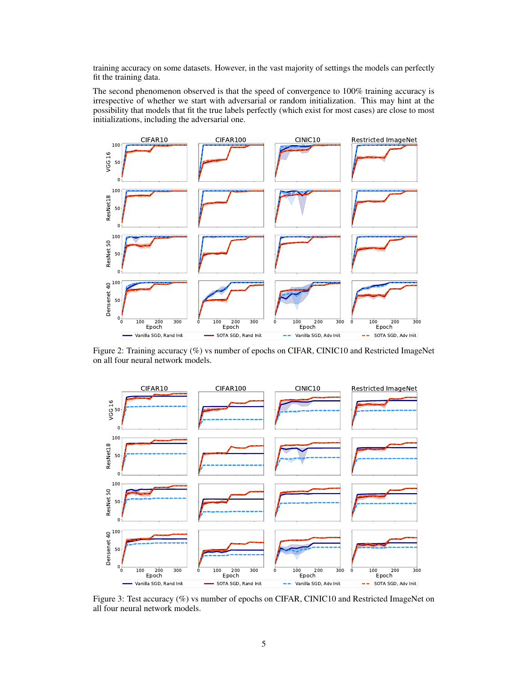<span id="page-4-0"></span>training accuracy on some datasets. However, in the vast majority of settings the models can perfectly fit the training data.

The second phenomenon observed is that the speed of convergence to 100% training accuracy is irrespective of whether we start with adversarial or random initialization. This may hint at the possibility that models that fit the true labels perfectly (which exist for most cases) are close to most initializations, including the adversarial one.



Figure 2: Training accuracy (%) vs number of epochs on CIFAR, CINIC10 and Restricted ImageNet on all four neural network models.



Figure 3: Test accuracy (%) vs number of epochs on CIFAR, CINIC10 and Restricted ImageNet on all four neural network models.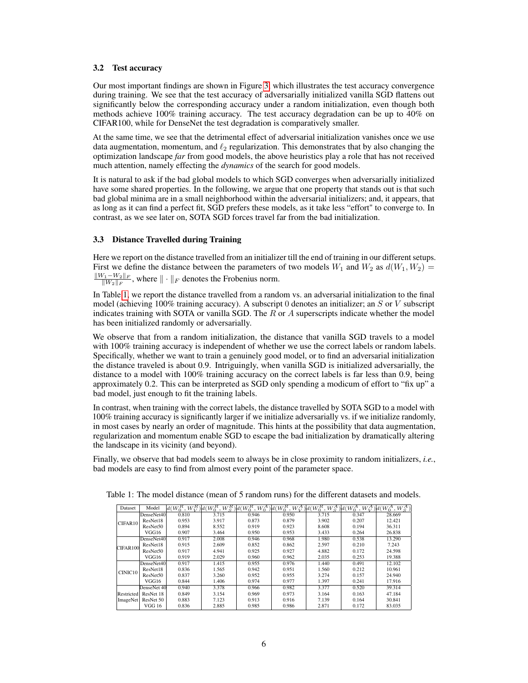#### 3.2 Test accuracy

Our most important findings are shown in Figure [3,](#page-4-0) which illustrates the test accuracy convergence during training. We see that the test accuracy of adversarially initialized vanilla SGD flattens out significantly below the corresponding accuracy under a random initialization, even though both methods achieve 100% training accuracy. The test accuracy degradation can be up to 40% on CIFAR100, while for DenseNet the test degradation is comparatively smaller.

At the same time, we see that the detrimental effect of adversarial initialization vanishes once we use data augmentation, momentum, and  $\ell_2$  regularization. This demonstrates that by also changing the optimization landscape *far* from good models, the above heuristics play a role that has not received much attention, namely effecting the *dynamics* of the search for good models.

It is natural to ask if the bad global models to which SGD converges when adversarially initialized have some shared properties. In the following, we argue that one property that stands out is that such bad global minima are in a small neighborhood within the adversarial initializers; and, it appears, that as long as it can find a perfect fit, SGD prefers these models, as it take less "effort" to converge to. In contrast, as we see later on, SOTA SGD forces travel far from the bad initialization.

#### 3.3 Distance Travelled during Training

Here we report on the distance travelled from an initializer till the end of training in our different setups. First we define the distance between the parameters of two models  $W_1$  and  $W_2$  as  $d(W_1, W_2)$  =  $\|W_1-W_2\|_F$  $\frac{\psi_1 - \psi_2 \| F}{\|W_2\|_F}$ , where  $\| \cdot \|_F$  denotes the Frobenius norm.

In Table 1, we report the distance travelled from a random vs. an adversarial initialization to the final model (achieving 100% training accuracy). A subscript 0 denotes an initializer; an  $S$  or  $V$  subscript indicates training with SOTA or vanilla SGD. The  $\overline{R}$  or  $\overline{A}$  superscripts indicate whether the model has been initialized randomly or adversarially.

We observe that from a random initialization, the distance that vanilla SGD travels to a model with 100% training accuracy is independent of whether we use the correct labels or random labels. Specifically, whether we want to train a genuinely good model, or to find an adversarial initialization the distance traveled is about 0.9. Intriguingly, when vanilla SGD is initialized adversarially, the distance to a model with 100% training accuracy on the correct labels is far less than 0.9, being approximately 0.2. This can be interpreted as SGD only spending a modicum of effort to "fix up" a bad model, just enough to fit the training labels.

In contrast, when training with the correct labels, the distance travelled by SOTA SGD to a model with 100% training accuracy is significantly larger if we initialize adversarially vs. if we initialize randomly, in most cases by nearly an order of magnitude. This hints at the possibility that data augmentation, regularization and momentum enable SGD to escape the bad initialization by dramatically altering the landscape in its vicinity (and beyond).

Finally, we observe that bad models seem to always be in close proximity to random initializers, *i.e.*, bad models are easy to find from almost every point of the parameter space.

| Dataset             | Model                | $d(W_0^R, W_V^R)$ $d(W_0^R,$ |       | $(k, W_{\rm S}^R)d(W_{\rm 0}^R,$ |       |       | $\int_{0}^{R} \frac{1}{2} W_{0}^{A} W_{0}^{B} W_{0}^{A} W_{0}^{B} W_{0}^{B} W_{0}^{A} W_{0}^{A} W_{0}^{A} W_{0}^{A} W_{0}^{A} W_{0}^{A} W_{0}^{A}$ |        |
|---------------------|----------------------|------------------------------|-------|----------------------------------|-------|-------|----------------------------------------------------------------------------------------------------------------------------------------------------|--------|
| CIFAR10             | DenseNet40           | 0.810                        | 3.715 | 0.946                            | 0.950 | 3.715 | 0.347                                                                                                                                              | 28.669 |
|                     | ResNet18             | 0.953                        | 3.917 | 0.873                            | 0.879 | 3.902 | 0.207                                                                                                                                              | 12.421 |
|                     | ResNet50             | 0.894                        | 8.552 | 0.919                            | 0.923 | 8.608 | 0.194                                                                                                                                              | 36.311 |
|                     | VGG16                | 0.907                        | 3.464 | 0.950                            | 0.953 | 3.433 | 0.264                                                                                                                                              | 26.838 |
| CIFAR100            | DenseNet40           | 0.917                        | 2.008 | 0.946                            | 0.968 | 1.980 | 0.538                                                                                                                                              | 13.290 |
|                     | ResNet18             | 0.915                        | 2.609 | 0.852                            | 0.862 | 2.597 | 0.210                                                                                                                                              | 7.243  |
|                     | ResNet <sub>50</sub> | 0.917                        | 4.941 | 0.925                            | 0.927 | 4.882 | 0.172                                                                                                                                              | 24.598 |
|                     | VGG16                | 0.919                        | 2.029 | 0.960                            | 0.962 | 2.035 | 0.253                                                                                                                                              | 19.388 |
| CINIC <sub>10</sub> | DenseNet40           | 0.917                        | 1.415 | 0.955                            | 0.976 | 1.440 | 0.491                                                                                                                                              | 12.102 |
|                     | ResNet18             | 0.836                        | 1.565 | 0.942                            | 0.951 | 1.560 | 0.212                                                                                                                                              | 10.961 |
|                     | ResNet <sub>50</sub> | 0.837                        | 3.260 | 0.952                            | 0.955 | 3.274 | 0.157                                                                                                                                              | 24.940 |
|                     | VGG16                | 0.844                        | 1.406 | 0.974                            | 0.977 | 1.397 | 0.241                                                                                                                                              | 17.916 |
|                     | DenseNet 40          | 0.940                        | 3.378 | 0.966                            | 0.982 | 3.377 | 0.520                                                                                                                                              | 39.314 |
| Restricted          | ResNet 18            | 0.849                        | 3.154 | 0.969                            | 0.973 | 3.164 | 0.163                                                                                                                                              | 47.184 |
| ImageNet            | ResNet 50            | 0.883                        | 7.123 | 0.913                            | 0.916 | 7.139 | 0.164                                                                                                                                              | 30.841 |
|                     | VGG 16               | 0.836                        | 2.885 | 0.985                            | 0.986 | 2.871 | 0.172                                                                                                                                              | 83.035 |

Table 1: The model distance (mean of 5 random runs) for the different datasets and models.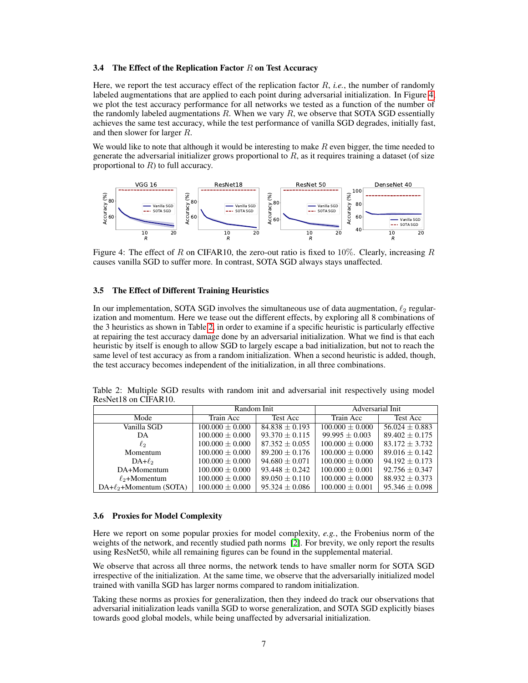#### 3.4 The Effect of the Replication Factor  $R$  on Test Accuracy

Here, we report the test accuracy effect of the replication factor R, *i.e.*, the number of randomly labeled augmentations that are applied to each point during adversarial initialization. In Figure 4, we plot the test accuracy performance for all networks we tested as a function of the number of the randomly labeled augmentations  $R$ . When we vary  $R$ , we observe that SOTA SGD essentially achieves the same test accuracy, while the test performance of vanilla SGD degrades, initially fast, and then slower for larger R.

We would like to note that although it would be interesting to make  $R$  even bigger, the time needed to generate the adversarial initializer grows proportional to  $R$ , as it requires training a dataset (of size proportional to  $R$ ) to full accuracy.



Figure 4: The effect of R on CIFAR10, the zero-out ratio is fixed to 10%. Clearly, increasing R causes vanilla SGD to suffer more. In contrast, SOTA SGD always stays unaffected.

#### 3.5 The Effect of Different Training Heuristics

In our implementation, SOTA SGD involves the simultaneous use of data augmentation,  $\ell_2$  regularization and momentum. Here we tease out the different effects, by exploring all 8 combinations of the 3 heuristics as shown in Table 2, in order to examine if a specific heuristic is particularly effective at repairing the test accuracy damage done by an adversarial initialization. What we find is that each heuristic by itself is enough to allow SGD to largely escape a bad initialization, but not to reach the same level of test accuracy as from a random initialization. When a second heuristic is added, though, the test accuracy becomes independent of the initialization, in all three combinations.

|                      |  |  |  |  | Table 2: Multiple SGD results with random init and adversarial init respectively using model |  |
|----------------------|--|--|--|--|----------------------------------------------------------------------------------------------|--|
| ResNet18 on CIFAR10. |  |  |  |  |                                                                                              |  |

|                            | Random Init         |                    | Adversarial Init    |                    |  |  |
|----------------------------|---------------------|--------------------|---------------------|--------------------|--|--|
| Mode                       | Train Acc           | Test Acc           | Train Acc           | Test Acc           |  |  |
| Vanilla SGD                | $100.000 \pm 0.000$ | $84.838 \pm 0.193$ | $100.000 + 0.000$   | $56.024 \pm 0.883$ |  |  |
| DA                         | $100.000 \pm 0.000$ | $93.370 \pm 0.115$ | $99.995 \pm 0.003$  | $89.402 \pm 0.175$ |  |  |
| $\ell_2$                   | $100.000 + 0.000$   | $87.352 \pm 0.055$ | $100.000 + 0.000$   | $83.172 + 3.732$   |  |  |
| Momentum                   | $100.000 \pm 0.000$ | $89.200 \pm 0.176$ | $100.000 + 0.000$   | $89.016 \pm 0.142$ |  |  |
| $DA+\ell_2$                | $100.000 \pm 0.000$ | $94.680 \pm 0.071$ | $100.000 + 0.000$   | $94.192 \pm 0.173$ |  |  |
| DA+Momentum                | $100.000 \pm 0.000$ | $93.448 + 0.242$   | $100.000 + 0.001$   | $92.756 \pm 0.347$ |  |  |
| $\ell_2$ +Momentum         | $100.000 \pm 0.000$ | $89.050 \pm 0.110$ | $100.000 \pm 0.000$ | $88.932 \pm 0.373$ |  |  |
| $DA+\ell_2+Momentum(SOTA)$ | $100.000 \pm 0.000$ | $95.324 \pm 0.086$ | $100.000 \pm 0.001$ | $95.346 \pm 0.098$ |  |  |

#### 3.6 Proxies for Model Complexity

Here we report on some popular proxies for model complexity, *e.g.*, the Frobenius norm of the weights of the network, and recently studied path norms [\[2\]](#page-8-0). For brevity, we only report the results using ResNet50, while all remaining figures can be found in the supplemental material.

We observe that across all three norms, the network tends to have smaller norm for SOTA SGD irrespective of the initialization. At the same time, we observe that the adversarially initialized model trained with vanilla SGD has larger norms compared to random initialization.

Taking these norms as proxies for generalization, then they indeed do track our observations that adversarial initialization leads vanilla SGD to worse generalization, and SOTA SGD explicitly biases towards good global models, while being unaffected by adversarial initialization.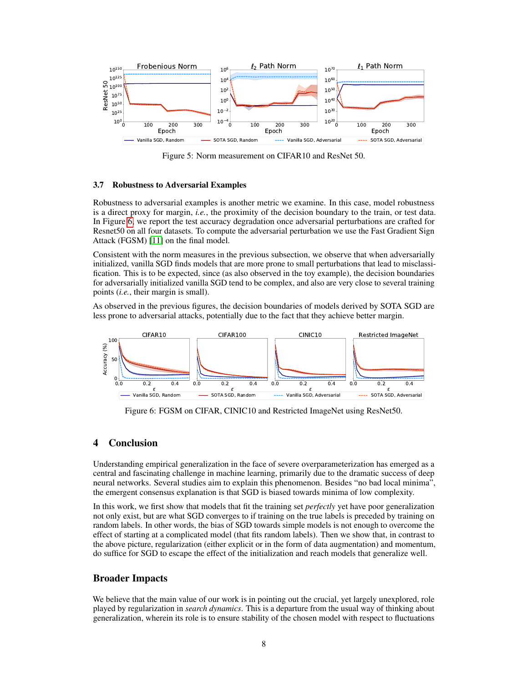

Figure 5: Norm measurement on CIFAR10 and ResNet 50.

#### 3.7 Robustness to Adversarial Examples

Robustness to adversarial examples is another metric we examine. In this case, model robustness is a direct proxy for margin, *i.e.*, the proximity of the decision boundary to the train, or test data. In Figure 6, we report the test accuracy degradation once adversarial perturbations are crafted for Resnet50 on all four datasets. To compute the adversarial perturbation we use the Fast Gradient Sign Attack (FGSM) [\[11\]](#page-8-0) on the final model.

Consistent with the norm measures in the previous subsection, we observe that when adversarially initialized, vanilla SGD finds models that are more prone to small perturbations that lead to misclassification. This is to be expected, since (as also observed in the toy example), the decision boundaries for adversarially initialized vanilla SGD tend to be complex, and also are very close to several training points (*i.e.*, their margin is small).

As observed in the previous figures, the decision boundaries of models derived by SOTA SGD are less prone to adversarial attacks, potentially due to the fact that they achieve better margin.



Figure 6: FGSM on CIFAR, CINIC10 and Restricted ImageNet using ResNet50.

# 4 Conclusion

Understanding empirical generalization in the face of severe overparameterization has emerged as a central and fascinating challenge in machine learning, primarily due to the dramatic success of deep neural networks. Several studies aim to explain this phenomenon. Besides "no bad local minima", the emergent consensus explanation is that SGD is biased towards minima of low complexity.

In this work, we first show that models that fit the training set *perfectly* yet have poor generalization not only exist, but are what SGD converges to if training on the true labels is preceded by training on random labels. In other words, the bias of SGD towards simple models is not enough to overcome the effect of starting at a complicated model (that fits random labels). Then we show that, in contrast to the above picture, regularization (either explicit or in the form of data augmentation) and momentum, do suffice for SGD to escape the effect of the initialization and reach models that generalize well.

## Broader Impacts

We believe that the main value of our work is in pointing out the crucial, yet largely unexplored, role played by regularization in *search dynamics*. This is a departure from the usual way of thinking about generalization, wherein its role is to ensure stability of the chosen model with respect to fluctuations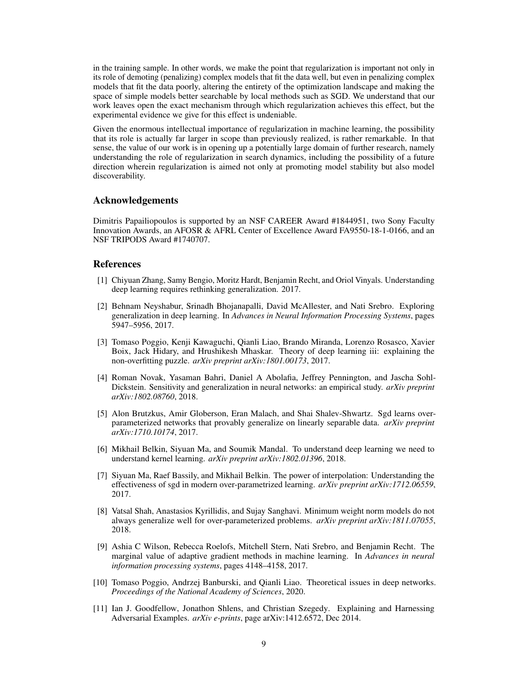<span id="page-8-0"></span>in the training sample. In other words, we make the point that regularization is important not only in its role of demoting (penalizing) complex models that fit the data well, but even in penalizing complex models that fit the data poorly, altering the entirety of the optimization landscape and making the space of simple models better searchable by local methods such as SGD. We understand that our work leaves open the exact mechanism through which regularization achieves this effect, but the experimental evidence we give for this effect is undeniable.

Given the enormous intellectual importance of regularization in machine learning, the possibility that its role is actually far larger in scope than previously realized, is rather remarkable. In that sense, the value of our work is in opening up a potentially large domain of further research, namely understanding the role of regularization in search dynamics, including the possibility of a future direction wherein regularization is aimed not only at promoting model stability but also model discoverability.

#### Acknowledgements

Dimitris Papailiopoulos is supported by an NSF CAREER Award #1844951, two Sony Faculty Innovation Awards, an AFOSR & AFRL Center of Excellence Award FA9550-18-1-0166, and an NSF TRIPODS Award #1740707.

### References

- [1] Chiyuan Zhang, Samy Bengio, Moritz Hardt, Benjamin Recht, and Oriol Vinyals. Understanding deep learning requires rethinking generalization. 2017.
- [2] Behnam Neyshabur, Srinadh Bhojanapalli, David McAllester, and Nati Srebro. Exploring generalization in deep learning. In *Advances in Neural Information Processing Systems*, pages 5947–5956, 2017.
- [3] Tomaso Poggio, Kenji Kawaguchi, Qianli Liao, Brando Miranda, Lorenzo Rosasco, Xavier Boix, Jack Hidary, and Hrushikesh Mhaskar. Theory of deep learning iii: explaining the non-overfitting puzzle. *arXiv preprint arXiv:1801.00173*, 2017.
- [4] Roman Novak, Yasaman Bahri, Daniel A Abolafia, Jeffrey Pennington, and Jascha Sohl-Dickstein. Sensitivity and generalization in neural networks: an empirical study. *arXiv preprint arXiv:1802.08760*, 2018.
- [5] Alon Brutzkus, Amir Globerson, Eran Malach, and Shai Shalev-Shwartz. Sgd learns overparameterized networks that provably generalize on linearly separable data. *arXiv preprint arXiv:1710.10174*, 2017.
- [6] Mikhail Belkin, Siyuan Ma, and Soumik Mandal. To understand deep learning we need to understand kernel learning. *arXiv preprint arXiv:1802.01396*, 2018.
- [7] Siyuan Ma, Raef Bassily, and Mikhail Belkin. The power of interpolation: Understanding the effectiveness of sgd in modern over-parametrized learning. *arXiv preprint arXiv:1712.06559*, 2017.
- [8] Vatsal Shah, Anastasios Kyrillidis, and Sujay Sanghavi. Minimum weight norm models do not always generalize well for over-parameterized problems. *arXiv preprint arXiv:1811.07055*, 2018.
- [9] Ashia C Wilson, Rebecca Roelofs, Mitchell Stern, Nati Srebro, and Benjamin Recht. The marginal value of adaptive gradient methods in machine learning. In *Advances in neural information processing systems*, pages 4148–4158, 2017.
- [10] Tomaso Poggio, Andrzej Banburski, and Qianli Liao. Theoretical issues in deep networks. *Proceedings of the National Academy of Sciences*, 2020.
- [11] Ian J. Goodfellow, Jonathon Shlens, and Christian Szegedy. Explaining and Harnessing Adversarial Examples. *arXiv e-prints*, page arXiv:1412.6572, Dec 2014.